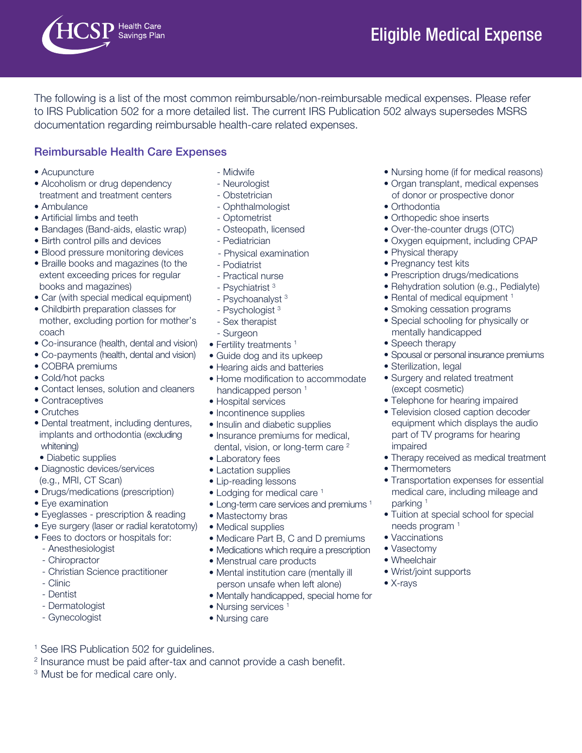

The following is a list of the most common reimbursable/non-reimbursable medical expenses. Please refer to IRS Publication 502 for a more detailed list. The current IRS Publication 502 always supersedes MSRS documentation regarding reimbursable health-care related expenses.

## Reimbursable Health Care Expenses

- Acupuncture
- Alcoholism or drug dependency treatment and treatment centers
- Ambulance
- Artificial limbs and teeth
- Bandages (Band-aids, elastic wrap)
- Birth control pills and devices
- Blood pressure monitoring devices
- Braille books and magazines (to the extent exceeding prices for regular books and magazines)
- Car (with special medical equipment)
- Childbirth preparation classes for mother, excluding portion for mother's coach
- Co-insurance (health, dental and vision)
- Co-payments (health, dental and vision)
- COBRA premiums
- Cold/hot packs
- Contact lenses, solution and cleaners
- Contraceptives
- Crutches
- Dental treatment, including dentures, implants and orthodontia (excluding whitening)
- Diabetic supplies
- Diagnostic devices/services (e.g., MRI, CT Scan)
- Drugs/medications (prescription)
- Eye examination
- Eyeglasses prescription & reading
- Eye surgery (laser or radial keratotomy)
- Fees to doctors or hospitals for:
	- Anesthesiologist
	- Chiropractor
	- Christian Science practitioner
	- Clinic
	- Dentist
	- Dermatologist
	- Gynecologist
- Midwife
- Neurologist
- Obstetrician
- Ophthalmologist
- Optometrist
- Osteopath, licensed
- Pediatrician
- Physical examination
- Podiatrist
- Practical nurse
- Psychiatrist<sup>3</sup>
- Psychoanalyst<sup>3</sup>
- Psychologist<sup>3</sup>
- Sex therapist - Surgeon
- Fertility treatments<sup>1</sup>
- Guide dog and its upkeep
- Hearing aids and batteries
- Home modification to accommodate handicapped person<sup>1</sup>
- Hospital services
- Incontinence supplies
- Insulin and diabetic supplies
- Insurance premiums for medical, dental, vision, or long-term care <sup>2</sup>
- Laboratory fees
- Lactation supplies
- Lip-reading lessons
- Lodging for medical care <sup>1</sup>
- Long-term care services and premiums <sup>1</sup>
- Mastectomy bras
- Medical supplies
- Medicare Part B, C and D premiums
- Medications which require a prescription
- Menstrual care products
- Mental institution care (mentally ill person unsafe when left alone)
- Mentally handicapped, special home for
- Nursing services <sup>1</sup>
- Nursing care
- <sup>1</sup> See IRS Publication 502 for guidelines.
- 2 Insurance must be paid after-tax and cannot provide a cash benefit.
- <sup>3</sup> Must be for medical care only.
- Nursing home (if for medical reasons)
- Organ transplant, medical expenses of donor or prospective donor
- Orthodontia
- Orthopedic shoe inserts
- Over-the-counter drugs (OTC)
- Oxygen equipment, including CPAP
- Physical therapy
- Pregnancy test kits
- Prescription drugs/medications
- Rehydration solution (e.g., Pedialyte)
- Rental of medical equipment<sup>1</sup>
- Smoking cessation programs
- Special schooling for physically or mentally handicapped
- Speech therapy
- Spousal or personal insurance premiums
- Sterilization, legal
- Surgery and related treatment (except cosmetic)
- Telephone for hearing impaired
- Television closed caption decoder equipment which displays the audio part of TV programs for hearing impaired
- Therapy received as medical treatment
- Thermometers
- Transportation expenses for essential medical care, including mileage and parking 1
- Tuition at special school for special needs program 1
- Vaccinations

• Wrist/joint supports

• Vasectomy • Wheelchair

• X-rays